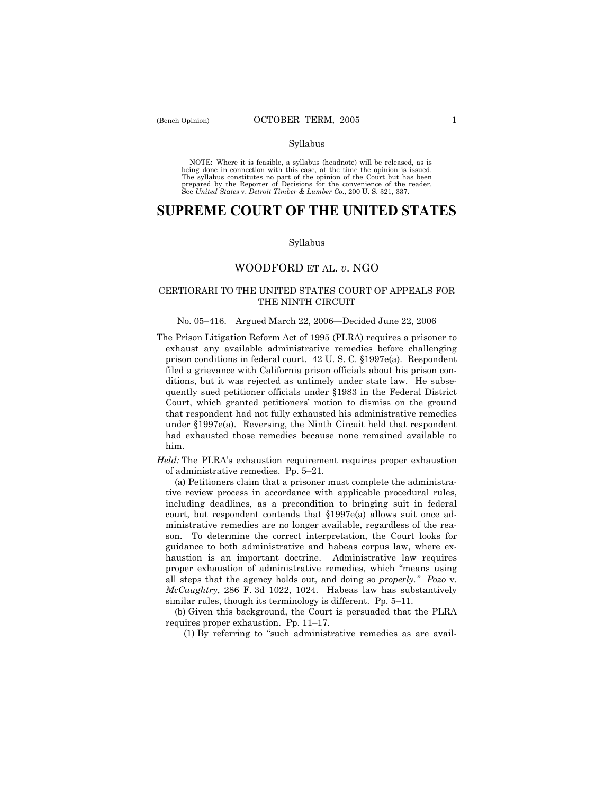### Syllabus

NOTE: Where it is feasible, a syllabus (headnote) will be released, as is being done in connection with this case, at the time the opinion is issued. The syllabus constitutes no part of the opinion of the Court but has been<br>prepared by the Reporter of Decisions for the convenience of the reader.<br>See United States v. Detroit Timber & Lumber Co., 200 U. S. 321, 337.

# **SUPREME COURT OF THE UNITED STATES**

#### Syllabus

## WOODFORD ET AL. *v*. NGO

## CERTIORARI TO THE UNITED STATES COURT OF APPEALS FOR THE NINTH CIRCUIT

## No. 05–416. Argued March 22, 2006–Decided June 22, 2006

The Prison Litigation Reform Act of 1995 (PLRA) requires a prisoner to exhaust any available administrative remedies before challenging prison conditions in federal court. 42 U. S. C. ß1997e(a). Respondent filed a grievance with California prison officials about his prison conditions, but it was rejected as untimely under state law. He subsequently sued petitioner officials under ß1983 in the Federal District Court, which granted petitioners' motion to dismiss on the ground that respondent had not fully exhausted his administrative remedies under ß1997e(a). Reversing, the Ninth Circuit held that respondent had exhausted those remedies because none remained available to him.

*Held:* The PLRA's exhaustion requirement requires proper exhaustion of administrative remedies. Pp.  $5-21$ .

 (a) Petitioners claim that a prisoner must complete the administrative review process in accordance with applicable procedural rules, including deadlines, as a precondition to bringing suit in federal court, but respondent contends that ß1997e(a) allows suit once administrative remedies are no longer available, regardless of the reason. To determine the correct interpretation, the Court looks for guidance to both administrative and habeas corpus law, where exhaustion is an important doctrine. Administrative law requires proper exhaustion of administrative remedies, which "means using all steps that the agency holds out, and doing so *properly.î Pozo* v. *McCaughtry*, 286 F. 3d 1022, 1024. Habeas law has substantively similar rules, though its terminology is different. Pp. 5-11.

 (b) Given this background, the Court is persuaded that the PLRA requires proper exhaustion. Pp.  $11-17$ .

 $(1)$  By referring to "such administrative remedies as are avail-